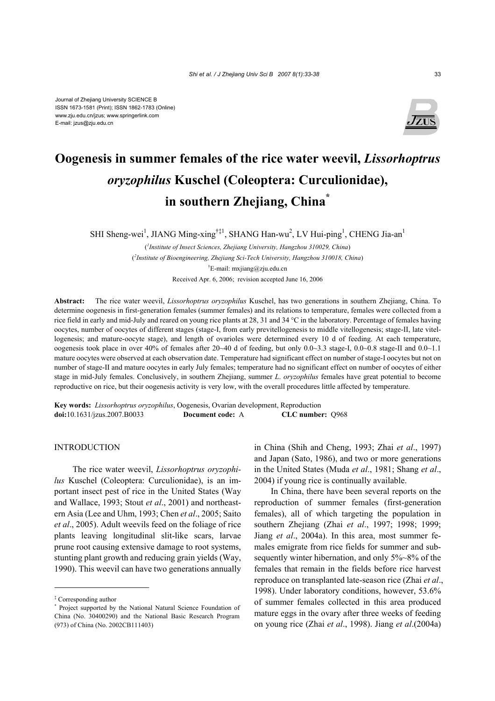Journal of Zhejiang University SCIENCE B ISSN 1673-1581 (Print); ISSN 1862-1783 (Online) www.zju.edu.cn/jzus; www.springerlink.com E-mail: jzus@zju.edu.cn



# **Oogenesis in summer females of the rice water weevil,** *Lissorhoptrus oryzophilus* **Kuschel (Coleoptera: Curculionidae), in southern Zhejiang, China\***

SHI Sheng-wei<sup>1</sup>, JIANG Ming-xing<sup>†‡1</sup>, SHANG Han-wu<sup>2</sup>, LV Hui-ping<sup>1</sup>, CHENG Jia-an<sup>1</sup>

( *1 Institute of Insect Sciences, Zhejiang University, Hangzhou 310029, China*) ( *2 Institute of Bioengineering, Zhejiang Sci-Tech University, Hangzhou 310018, China*) † E-mail: mxjiang@zju.edu.cn Received Apr. 6, 2006; revision accepted June 16, 2006

**Abstract:** The rice water weevil, *Lissorhoptrus oryzophilus* Kuschel, has two generations in southern Zhejiang, China. To determine oogenesis in first-generation females (summer females) and its relations to temperature, females were collected from a rice field in early and mid-July and reared on young rice plants at 28, 31 and 34 °C in the laboratory. Percentage of females having oocytes, number of oocytes of different stages (stage-I, from early previtellogenesis to middle vitellogenesis; stage-II, late vitellogenesis; and mature-oocyte stage), and length of ovarioles were determined every 10 d of feeding. At each temperature, oogenesis took place in over 40% of females after 20~40 d of feeding, but only 0.0~3.3 stage-I, 0.0~0.8 stage-II and 0.0~1.1 mature oocytes were observed at each observation date. Temperature had significant effect on number of stage-I oocytes but not on number of stage-II and mature oocytes in early July females; temperature had no significant effect on number of oocytes of either stage in mid-July females. Conclusively, in southern Zhejiang, summer *L*. *oryzophilus* females have great potential to become reproductive on rice, but their oogenesis activity is very low, with the overall procedures little affected by temperature.

**Key words:** *Lissorhoptrus oryzophilus*, Oogenesis, Ovarian development, Reproduction **doi:**10.1631/jzus.2007.B0033 **Document code:** A **CLC number:** Q968

## INTRODUCTION

The rice water weevil, *Lissorhoptrus oryzophilus* Kuschel (Coleoptera: Curculionidae), is an important insect pest of rice in the United States (Way and Wallace, 1993; Stout *et al*., 2001) and northeastern Asia (Lee and Uhm, 1993; Chen *et al*., 2005; Saito *et al*., 2005). Adult weevils feed on the foliage of rice plants leaving longitudinal slit-like scars, larvae prune root causing extensive damage to root systems, stunting plant growth and reducing grain yields (Way, 1990). This weevil can have two generations annually

in China (Shih and Cheng, 1993; Zhai *et al*., 1997) and Japan (Sato, 1986), and two or more generations in the United States (Muda *et al*., 1981; Shang *et al*., 2004) if young rice is continually available.

In China, there have been several reports on the reproduction of summer females (first-generation females), all of which targeting the population in southern Zhejiang (Zhai *et al*., 1997; 1998; 1999; Jiang *et al*., 2004a). In this area, most summer females emigrate from rice fields for summer and subsequently winter hibernation, and only 5%~8% of the females that remain in the fields before rice harvest reproduce on transplanted late-season rice (Zhai *et al*., 1998). Under laboratory conditions, however, 53.6% of summer females collected in this area produced mature eggs in the ovary after three weeks of feeding on young rice (Zhai *et al*., 1998). Jiang *et al*.(2004a)

<sup>‡</sup> Corresponding author

<sup>\*</sup> Project supported by the National Natural Science Foundation of China (No. 30400290) and the National Basic Research Program (973) of China (No. 2002CB111403)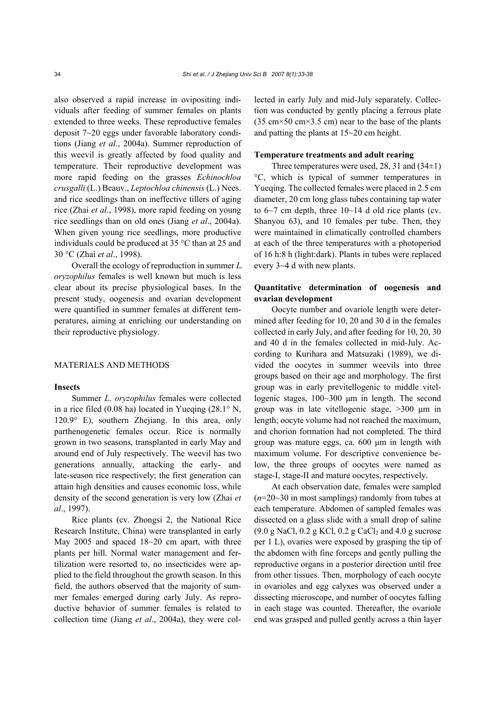also observed a rapid increase in ovipositing individuals after feeding of summer females on plants extended to three weeks. These reproductive females deposit 7~20 eggs under favorable laboratory conditions (Jiang *et al*., 2004a). Summer reproduction of this weevil is greatly affected by food quality and temperature. Their reproductive development was more rapid feeding on the grasses *Echinochloa crusgalli* (L.) Beauv., *Leptochloa chinensis* (L.) Nees. and rice seedlings than on ineffective tillers of aging rice (Zhai *et al*., 1998), more rapid feeding on young rice seedlings than on old ones (Jiang *et al*., 2004a). When given young rice seedlings, more productive individuals could be produced at 35 °C than at 25 and 30 °C (Zhai *et al*., 1998).

Overall the ecology of reproduction in summer *L. oryzophilus* females is well known but much is less clear about its precise physiological bases. In the present study, oogenesis and ovarian development were quantified in summer females at different temperatures, aiming at enriching our understanding on their reproductive physiology.

## MATERIALS AND METHODS

## **Insects**

Summer *L*. *oryzophilus* females were collected in a rice filed (0.08 ha) located in Yueqing (28.1° N, 120.9° E), southern Zhejiang. In this area, only parthenogenetic females occur. Rice is normally grown in two seasons, transplanted in early May and around end of July respectively. The weevil has two generations annually, attacking the early- and late-season rice respectively; the first generation can attain high densities and causes economic loss, while density of the second generation is very low (Zhai *et al*., 1997).

Rice plants (cv. Zhongsi 2, the National Rice Research Institute, China) were transplanted in early May 2005 and spaced 18~20 cm apart, with three plants per hill. Normal water management and fertilization were resorted to, no insecticides were applied to the field throughout the growth season. In this field, the authors observed that the majority of summer females emerged during early July. As reproductive behavior of summer females is related to collection time (Jiang *et al*., 2004a), they were collected in early July and mid-July separately. Collection was conducted by gently placing a ferrous plate  $(35 \text{ cm} \times 50 \text{ cm} \times 3.5 \text{ cm})$  near to the base of the plants and patting the plants at 15~20 cm height.

## **Temperature treatments and adult rearing**

Three temperatures were used, 28, 31 and (34±1) °C, which is typical of summer temperatures in Yueqing. The collected females were placed in 2.5 cm diameter, 20 cm long glass tubes containing tap water to  $6~\sim$ 7 cm depth, three  $10~\sim$ 14 d old rice plants (cv. Shanyou 63), and 10 females per tube. Then, they were maintained in climatically controlled chambers at each of the three temperatures with a photoperiod of 16 h:8 h (light:dark). Plants in tubes were replaced every 3~4 d with new plants.

# **Quantitative determination of oogenesis and ovarian development**

Oocyte number and ovariole length were determined after feeding for 10, 20 and 30 d in the females collected in early July, and after feeding for 10, 20, 30 and 40 d in the females collected in mid-July. According to Kurihara and Matsuzaki (1989), we divided the oocytes in summer weevils into three groups based on their age and morphology. The first group was in early previtellogenic to middle vitellogenic stages, 100~300 µm in length. The second group was in late vitellogenic stage, >300 µm in length; oocyte volume had not reached the maximum, and chorion formation had not completed. The third group was mature eggs, ca. 600 µm in length with maximum volume. For descriptive convenience below, the three groups of oocytes were named as stage-I, stage-II and mature oocytes, respectively.

At each observation date, females were sampled (*n*=20~30 in most samplings) randomly from tubes at each temperature. Abdomen of sampled females was dissected on a glass slide with a small drop of saline  $(9.0 \text{ g NaCl}, 0.2 \text{ g KCl}, 0.2 \text{ g CaCl}_2 \text{ and } 4.0 \text{ g sucrose})$ per 1 L), ovaries were exposed by grasping the tip of the abdomen with fine forceps and gently pulling the reproductive organs in a posterior direction until free from other tissues. Then, morphology of each oocyte in ovarioles and egg calyxes was observed under a dissecting microscope, and number of oocytes falling in each stage was counted. Thereafter, the ovariole end was grasped and pulled gently across a thin layer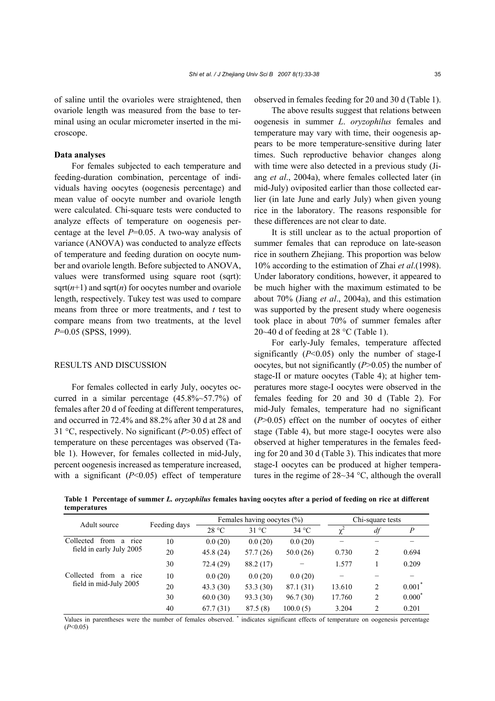## **Data analyses**

For females subjected to each temperature and feeding-duration combination, percentage of individuals having oocytes (oogenesis percentage) and mean value of oocyte number and ovariole length were calculated. Chi-square tests were conducted to analyze effects of temperature on oogenesis percentage at the level *P*=0.05. A two-way analysis of variance (ANOVA) was conducted to analyze effects of temperature and feeding duration on oocyte number and ovariole length. Before subjected to ANOVA, values were transformed using square root (sqrt): sqrt( $n+1$ ) and sqrt( $n$ ) for oocytes number and ovariole length, respectively. Tukey test was used to compare means from three or more treatments, and *t* test to compare means from two treatments, at the level *P*=0.05 (SPSS, 1999).

## RESULTS AND DISCUSSION

For females collected in early July, oocytes occurred in a similar percentage (45.8%~57.7%) of females after 20 d of feeding at different temperatures, and occurred in 72.4% and 88.2% after 30 d at 28 and 31 °C, respectively. No significant (*P*>0.05) effect of temperature on these percentages was observed (Table 1). However, for females collected in mid-July, percent oogenesis increased as temperature increased, with a significant (*P*<0.05) effect of temperature

observed in females feeding for 20 and 30 d (Table 1).

The above results suggest that relations between oogenesis in summer *L*. *oryzophilus* females and temperature may vary with time, their oogenesis appears to be more temperature-sensitive during later times. Such reproductive behavior changes along with time were also detected in a previous study (Jiang *et al*., 2004a), where females collected later (in mid-July) oviposited earlier than those collected earlier (in late June and early July) when given young rice in the laboratory. The reasons responsible for these differences are not clear to date.

It is still unclear as to the actual proportion of summer females that can reproduce on late-season rice in southern Zhejiang. This proportion was below 10% according to the estimation of Zhai *et al*.(1998). Under laboratory conditions, however, it appeared to be much higher with the maximum estimated to be about 70% (Jiang *et al*., 2004a), and this estimation was supported by the present study where oogenesis took place in about 70% of summer females after 20~40 d of feeding at 28  $^{\circ}$ C (Table 1).

For early-July females, temperature affected significantly  $(P<0.05)$  only the number of stage-I oocytes, but not significantly (*P*>0.05) the number of stage-II or mature oocytes (Table 4); at higher temperatures more stage-I oocytes were observed in the females feeding for 20 and 30 d (Table 2). For mid-July females, temperature had no significant (*P*>0.05) effect on the number of oocytes of either stage (Table 4), but more stage-I oocytes were also observed at higher temperatures in the females feeding for 20 and 30 d (Table 3). This indicates that more stage-I oocytes can be produced at higher temperatures in the regime of 28~34 °C, although the overall

**Table 1 Percentage of summer** *L. oryzophilus* **females having oocytes after a period of feeding on rice at different temperatures**

| Adult source                                               | Feeding days | Females having oocytes (%) |                |           | Chi-square tests |    |          |
|------------------------------------------------------------|--------------|----------------------------|----------------|-----------|------------------|----|----------|
|                                                            |              | 28 °C                      | $31^{\circ}$ C | 34 °C     |                  | df | P        |
| from<br>Collected<br>a<br>rice<br>field in early July 2005 | 10           | 0.0(20)                    | 0.0(20)        | 0.0(20)   |                  |    |          |
|                                                            | 20           | 45.8(24)                   | 57.7(26)       | 50.0(26)  | 0.730            | 2  | 0.694    |
|                                                            | 30           | 72.4 (29)                  | 88.2 (17)      |           | 1.577            |    | 0.209    |
| from<br>Collected<br>a<br>rice<br>field in mid-July 2005   | 10           | 0.0(20)                    | 0.0(20)        | 0.0(20)   |                  |    |          |
|                                                            | 20           | 43.3(30)                   | 53.3 (30)      | 87.1 (31) | 13.610           | 2  | $0.001*$ |
|                                                            | 30           | 60.0(30)                   | 93.3 (30)      | 96.7(30)  | 17.760           | 2  | $0.000*$ |
|                                                            | 40           | 67.7(31)                   | 87.5(8)        | 100.0(5)  | 3.204            | 2  | 0.201    |

Values in parentheses were the number of females observed. \* indicates significant effects of temperature on oogenesis percentage (*P*<0.05)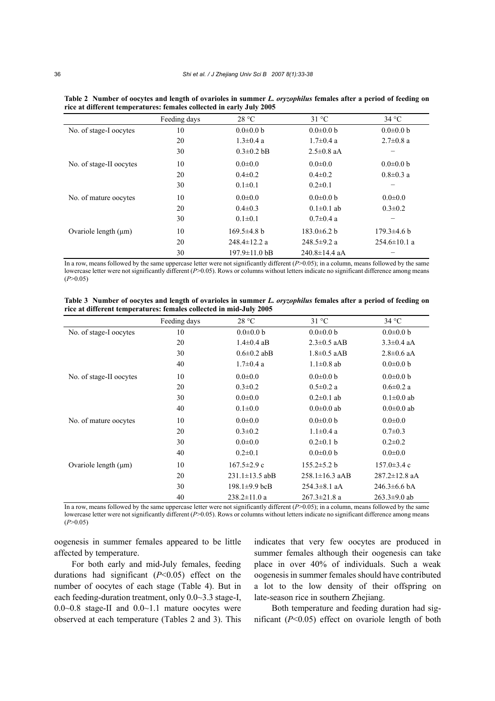|                           | Feeding days | 28 °C                       | $31^{\circ}$ C      | 34 °C              |
|---------------------------|--------------|-----------------------------|---------------------|--------------------|
| No. of stage-I oocytes    | 10           | $0.0 \pm 0.0 b$             | $0.0 \pm 0.0$ b     | $0.0 \pm 0.0 b$    |
|                           | 20           | $1.3 \pm 0.4$ a             | $1.7 \pm 0.4$ a     | $2.7 \pm 0.8$ a    |
|                           | 30           | $0.3 \pm 0.2$ bB            | $2.5 \pm 0.8$ aA    |                    |
| No. of stage-II oocytes   | 10           | $0.0 \pm 0.0$               | $0.0 \pm 0.0$       | $0.0 \pm 0.0 b$    |
|                           | 20           | $0.4 \pm 0.2$               | $0.4 \pm 0.2$       | $0.8 \pm 0.3$ a    |
|                           | 30           | $0.1 \pm 0.1$               | $0.2 \pm 0.1$       |                    |
| No. of mature oocytes     | 10           | $0.0 \pm 0.0$               | $0.0 \pm 0.0 b$     | $0.0 \pm 0.0$      |
|                           | 20           | $0.4 \pm 0.3$               | $0.1 \pm 0.1$ ab    | $0.3 \pm 0.2$      |
|                           | 30           | $0.1 \pm 0.1$               | $0.7 \pm 0.4$ a     |                    |
| Ovariole length $(\mu m)$ | 10           | $169.5\pm4.8$ b             | $183.0 \pm 6.2 b$   | $179.3 \pm 4.6 b$  |
|                           | 20           | $248.4 \pm 12.2$ a          | $248.5 \pm 9.2$ a   | $254.6 \pm 10.1$ a |
|                           | 30           | $197.9 \pm 11.0 \text{ bB}$ | $240.8 \pm 14.4$ aA |                    |

**Table 2 Number of oocytes and length of ovarioles in summer** *L. oryzophilus* **females after a period of feeding on rice at different temperatures: females collected in early July 2005** 

In a row, means followed by the same uppercase letter were not significantly different (*P*>0.05); in a column, means followed by the same lowercase letter were not significantly different (*P*>0.05). Rows or columns without letters indicate no significant difference among means  $(P>0.05)$ 

**Table 3 Number of oocytes and length of ovarioles in summer** *L. oryzophilus* **females after a period of feeding on rice at different temperatures: females collected in mid-July 2005** 

|                           | Feeding days | 28 °C                | $31^{\circ}$ C       | 34 °C                     |
|---------------------------|--------------|----------------------|----------------------|---------------------------|
| No. of stage-I oocytes    | 10           | $0.0 \pm 0.0 b$      | $0.0 \pm 0.0 b$      | $0.0 \pm 0.0 b$           |
|                           | 20           | $1.4 \pm 0.4$ aB     | $2.3 \pm 0.5$ aAB    | $3.3 \pm 0.4$ aA          |
|                           | 30           | $0.6 \pm 0.2$ abB    | $1.8 \pm 0.5$ aAB    | $2.8 \pm 0.6$ aA          |
|                           | 40           | $1.7 \pm 0.4$ a      | $1.1 \pm 0.8$ ab     | $0.0 \pm 0.0 b$           |
| No. of stage-II oocytes   | 10           | $0.0 + 0.0$          | $0.0 \pm 0.0 b$      | $0.0 \pm 0.0 b$           |
|                           | 20           | $0.3 \pm 0.2$        | $0.5 \pm 0.2$ a      | $0.6 \pm 0.2$ a           |
|                           | 30           | $0.0 \pm 0.0$        | $0.2 \pm 0.1$ ab     | $0.1 \pm 0.0$ ab          |
|                           | 40           | $0.1 \pm 0.0$        | $0.0 \pm 0.0$ ab     | $0.0 \pm 0.0$ ab          |
| No. of mature oocytes     | 10           | $0.0 \pm 0.0$        | $0.0 \pm 0.0 b$      | $0.0 \pm 0.0$             |
|                           | 20           | $0.3 \pm 0.2$        | $1.1 \pm 0.4$ a      | $0.7 \pm 0.3$             |
|                           | 30           | $0.0 + 0.0$          | $0.2\pm0.1$ b        | $0.2 \pm 0.2$             |
|                           | 40           | $0.2 \pm 0.1$        | $0.0 \pm 0.0 b$      | $0.0 \pm 0.0$             |
| Ovariole length $(\mu m)$ | 10           | $167.5 \pm 2.9$ c    | $155.2 \pm 5.2 b$    | $157.0 \pm 3.4$ c         |
|                           | 20           | $231.1 \pm 13.5$ abB | $258.1 \pm 16.3$ aAB | $287.2 \pm 12.8$ aA       |
|                           | 30           | $198.1\pm9.9$ bcB    | $254.3 \pm 8.1$ aA   | $246.3\pm 6.6 \text{ bA}$ |
|                           | 40           | $238.2 \pm 11.0$ a   | $267.3 \pm 21.8$ a   | $263.3 \pm 9.0$ ab        |

In a row, means followed by the same uppercase letter were not significantly different  $(P>0.05)$ ; in a column, means followed by the same lowercase letter were not significantly different (*P*>0.05). Rows or columns without letters indicate no significant difference among means  $(P>0.05)$ 

oogenesis in summer females appeared to be little affected by temperature.

For both early and mid-July females, feeding durations had significant (*P*<0.05) effect on the number of oocytes of each stage (Table 4). But in each feeding-duration treatment, only 0.0~3.3 stage-I,  $0.0~0.8$  stage-II and  $0.0~1.1$  mature oocytes were observed at each temperature (Tables 2 and 3). This indicates that very few oocytes are produced in summer females although their oogenesis can take place in over 40% of individuals. Such a weak oogenesis in summer females should have contributed a lot to the low density of their offspring on late-season rice in southern Zhejiang.

Both temperature and feeding duration had significant (*P*<0.05) effect on ovariole length of both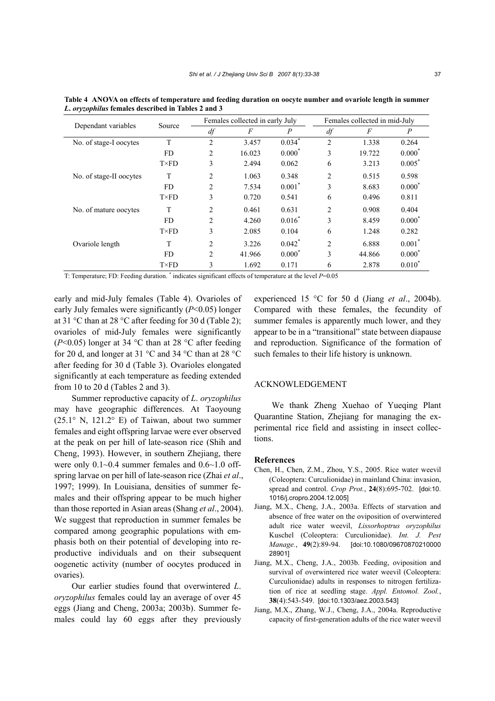| Dependant variables     | Source       |                | Females collected in early July |                |                | Females collected in mid-July |                  |  |
|-------------------------|--------------|----------------|---------------------------------|----------------|----------------|-------------------------------|------------------|--|
|                         |              | df             | F                               | $\overline{P}$ | df             | F                             | $\boldsymbol{P}$ |  |
| No. of stage-I oocytes  | T            | $\overline{c}$ | 3.457                           | $0.034$ *      | $\overline{c}$ | 1.338                         | 0.264            |  |
|                         | FD.          | 2              | 16.023                          | $0.000^*$      | 3              | 19.722                        | $0.000*$         |  |
|                         | $T\times FD$ | 3              | 2.494                           | 0.062          | 6              | 3.213                         | $0.005*$         |  |
| No. of stage-II oocytes | T            | 2              | 1.063                           | 0.348          | $\overline{c}$ | 0.515                         | 0.598            |  |
|                         | FD.          | 2              | 7.534                           | $0.001*$       | 3              | 8.683                         | $0.000*$         |  |
|                         | $T\times FD$ | 3              | 0.720                           | 0.541          | 6              | 0.496                         | 0.811            |  |
| No. of mature oocytes   | T            | 2              | 0.461                           | 0.631          | $\overline{2}$ | 0.908                         | 0.404            |  |
|                         | FD.          | 2              | 4.260                           | $0.016^*$      | 3              | 8.459                         | $0.000^*$        |  |
|                         | $T\times FD$ | 3              | 2.085                           | 0.104          | 6              | 1.248                         | 0.282            |  |
| Ovariole length         | T            | $\overline{2}$ | 3.226                           | $0.042^*$      | $\overline{c}$ | 6.888                         | $0.001^*$        |  |
|                         | FD.          | $\overline{c}$ | 41.966                          | $0.000^*$      | 3              | 44.866                        | $0.000*$         |  |
|                         | $T\times FD$ | 3              | 1.692                           | 0.171          | 6              | 2.878                         | $0.010^{*}$      |  |
|                         |              |                |                                 |                |                |                               |                  |  |

T: Temperature; FD: Feeding duration. \* indicates significant effects of temperature at the level *P*=0.05

early and mid-July females (Table 4). Ovarioles of early July females were significantly (*P*<0.05) longer at 31 °C than at 28 °C after feeding for 30 d (Table 2); ovarioles of mid-July females were significantly ( $P<0.05$ ) longer at 34 °C than at 28 °C after feeding for 20 d, and longer at 31 °C and 34 °C than at 28 °C after feeding for 30 d (Table 3). Ovarioles elongated significantly at each temperature as feeding extended from 10 to 20 d (Tables 2 and 3).

*L***.** *oryzophilus* **females described in Tables 2 and 3**

Summer reproductive capacity of *L*. *oryzophilus* may have geographic differences. At Taoyoung (25.1° N, 121.2° E) of Taiwan, about two summer females and eight offspring larvae were ever observed at the peak on per hill of late-season rice (Shih and Cheng, 1993). However, in southern Zhejiang, there were only  $0.1~0.4$  summer females and  $0.6~1.0$  offspring larvae on per hill of late-season rice (Zhai *et al*., 1997; 1999). In Louisiana, densities of summer females and their offspring appear to be much higher than those reported in Asian areas (Shang *et al*., 2004). We suggest that reproduction in summer females be compared among geographic populations with emphasis both on their potential of developing into reproductive individuals and on their subsequent oogenetic activity (number of oocytes produced in ovaries).

Our earlier studies found that overwintered *L*. *oryzophilus* females could lay an average of over 45 eggs (Jiang and Cheng, 2003a; 2003b). Summer females could lay 60 eggs after they previously experienced 15 °C for 50 d (Jiang *et al*., 2004b). Compared with these females, the fecundity of summer females is apparently much lower, and they appear to be in a "transitional" state between diapause and reproduction. Significance of the formation of such females to their life history is unknown.

## ACKNOWLEDGEMENT

We thank Zheng Xuehao of Yueqing Plant Quarantine Station, Zhejiang for managing the experimental rice field and assisting in insect collections.

## **References**

- Chen, H., Chen, Z.M., Zhou, Y.S., 2005. Rice water weevil (Coleoptera: Curculionidae) in mainland China: invasion, spread and control. *Crop Prot.*, **24**(8):695-702. [doi:10. 1016/j.cropro.2004.12.005]
- Jiang, M.X., Cheng, J.A., 2003a. Effects of starvation and absence of free water on the oviposition of overwintered adult rice water weevil, *Lissorhoptrus oryzophilus*  Kuschel (Coleoptera: Curculionidae). *Int. J. Pest Manage.*, **49**(2):89-94. [doi:10.1080/09670870210000 28901]
- Jiang, M.X., Cheng, J.A., 2003b. Feeding, oviposition and survival of overwintered rice water weevil (Coleoptera: Curculionidae) adults in responses to nitrogen fertilization of rice at seedling stage. *Appl. Entomol. Zool.*, **38**(4):543-549. [doi:10.1303/aez.2003.543]
- Jiang, M.X., Zhang, W.J., Cheng, J.A., 2004a. Reproductive capacity of first-generation adults of the rice water weevil